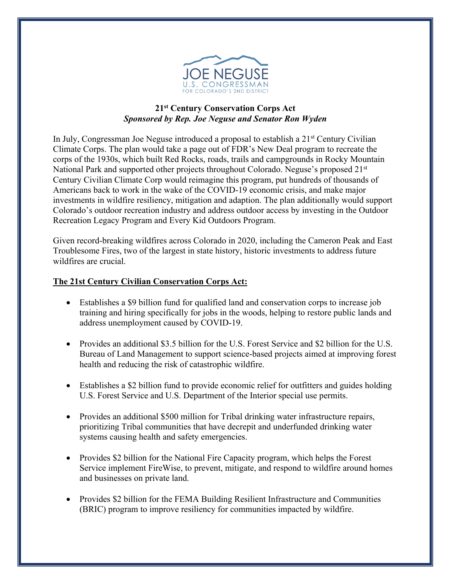

## **21st Century Conservation Corps Act** *Sponsored by Rep. Joe Neguse and Senator Ron Wyden*

In July, Congressman Joe Neguse introduced a proposal to establish a 21<sup>st</sup> Century Civilian Climate Corps. The plan would take a page out of FDR's New Deal program to recreate the corps of the 1930s, which built Red Rocks, roads, trails and campgrounds in Rocky Mountain National Park and supported other projects throughout Colorado. Neguse's proposed 21<sup>st</sup> Century Civilian Climate Corp would reimagine this program, put hundreds of thousands of Americans back to work in the wake of the COVID-19 economic crisis, and make major investments in wildfire resiliency, mitigation and adaption. The plan additionally would support Colorado's outdoor recreation industry and address outdoor access by investing in the Outdoor Recreation Legacy Program and Every Kid Outdoors Program.

Given record-breaking wildfires across Colorado in 2020, including the Cameron Peak and East Troublesome Fires, two of the largest in state history, historic investments to address future wildfires are crucial.

## **The 21st Century Civilian Conservation Corps Act:**

- Establishes a \$9 billion fund for qualified land and conservation corps to increase job training and hiring specifically for jobs in the woods, helping to restore public lands and address unemployment caused by COVID-19.
- Provides an additional \$3.5 billion for the U.S. Forest Service and \$2 billion for the U.S. Bureau of Land Management to support science-based projects aimed at improving forest health and reducing the risk of catastrophic wildfire.
- Establishes a \$2 billion fund to provide economic relief for outfitters and guides holding U.S. Forest Service and U.S. Department of the Interior special use permits.
- Provides an additional \$500 million for Tribal drinking water infrastructure repairs, prioritizing Tribal communities that have decrepit and underfunded drinking water systems causing health and safety emergencies.
- Provides \$2 billion for the National Fire Capacity program, which helps the Forest Service implement FireWise, to prevent, mitigate, and respond to wildfire around homes and businesses on private land.
- Provides \$2 billion for the FEMA Building Resilient Infrastructure and Communities (BRIC) program to improve resiliency for communities impacted by wildfire.